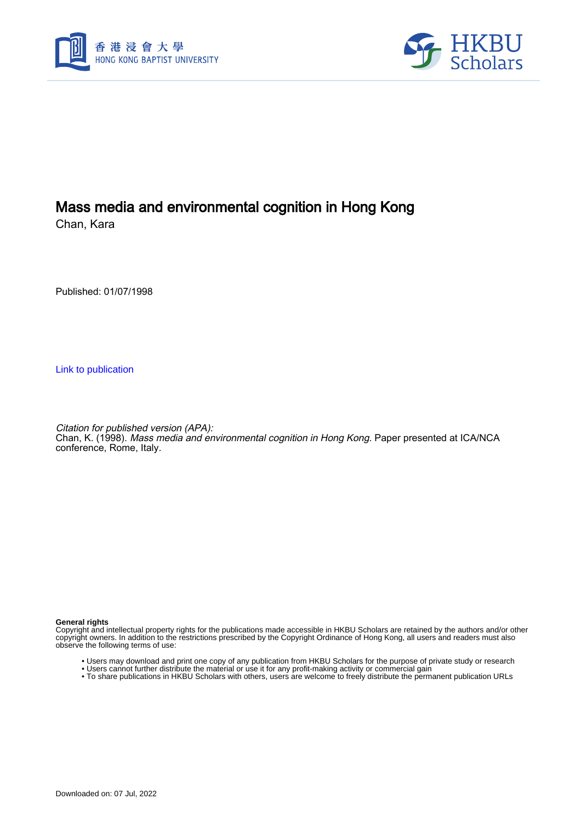



Chan, Kara

Published: 01/07/1998

[Link to publication](https://scholars.hkbu.edu.hk/en/publications/8aaafc32-ae42-4f52-a8f9-d7865dd8c258)

Citation for published version (APA): Chan, K. (1998). *Mass media and environmental cognition in Hong Kong*. Paper presented at ICA/NCA conference, Rome, Italy.

#### **General rights**

Copyright and intellectual property rights for the publications made accessible in HKBU Scholars are retained by the authors and/or other copyright owners. In addition to the restrictions prescribed by the Copyright Ordinance of Hong Kong, all users and readers must also observe the following terms of use:

- Users may download and print one copy of any publication from HKBU Scholars for the purpose of private study or research
- Users cannot further distribute the material or use it for any profit-making activity or commercial gain
- To share publications in HKBU Scholars with others, users are welcome to freely distribute the permanent publication URLs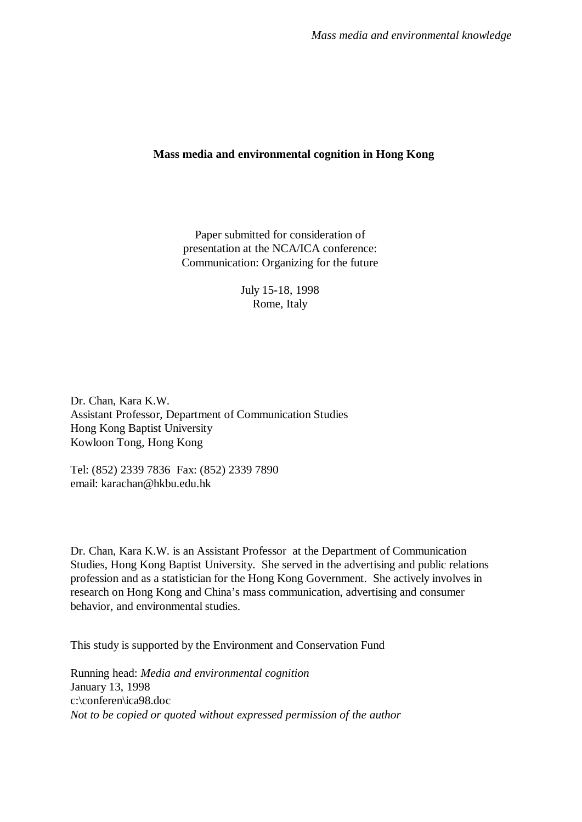Paper submitted for consideration of presentation at the NCA/ICA conference: Communication: Organizing for the future

> July 15-18, 1998 Rome, Italy

Dr. Chan, Kara K.W. Assistant Professor, Department of Communication Studies Hong Kong Baptist University Kowloon Tong, Hong Kong

Tel: (852) 2339 7836 Fax: (852) 2339 7890 email: karachan@hkbu.edu.hk

Dr. Chan, Kara K.W. is an Assistant Professor at the Department of Communication Studies, Hong Kong Baptist University. She served in the advertising and public relations profession and as a statistician for the Hong Kong Government. She actively involves in research on Hong Kong and China's mass communication, advertising and consumer behavior, and environmental studies.

This study is supported by the Environment and Conservation Fund

Running head: *Media and environmental cognition* January 13, 1998 c:\conferen\ica98.doc *Not to be copied or quoted without expressed permission of the author*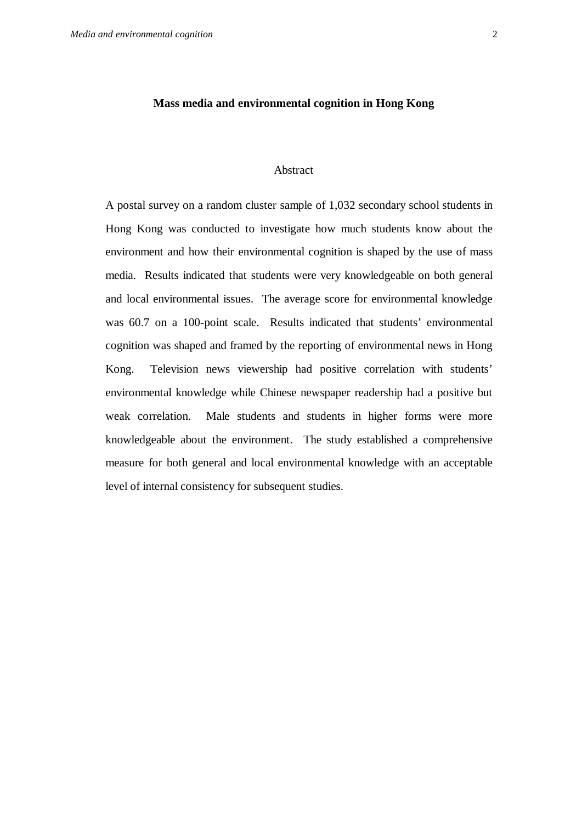#### Abstract

A postal survey on a random cluster sample of 1,032 secondary school students in Hong Kong was conducted to investigate how much students know about the environment and how their environmental cognition is shaped by the use of mass media. Results indicated that students were very knowledgeable on both general and local environmental issues. The average score for environmental knowledge was 60.7 on a 100-point scale. Results indicated that students' environmental cognition was shaped and framed by the reporting of environmental news in Hong Kong. Television news viewership had positive correlation with students' environmental knowledge while Chinese newspaper readership had a positive but weak correlation. Male students and students in higher forms were more knowledgeable about the environment. The study established a comprehensive measure for both general and local environmental knowledge with an acceptable level of internal consistency for subsequent studies.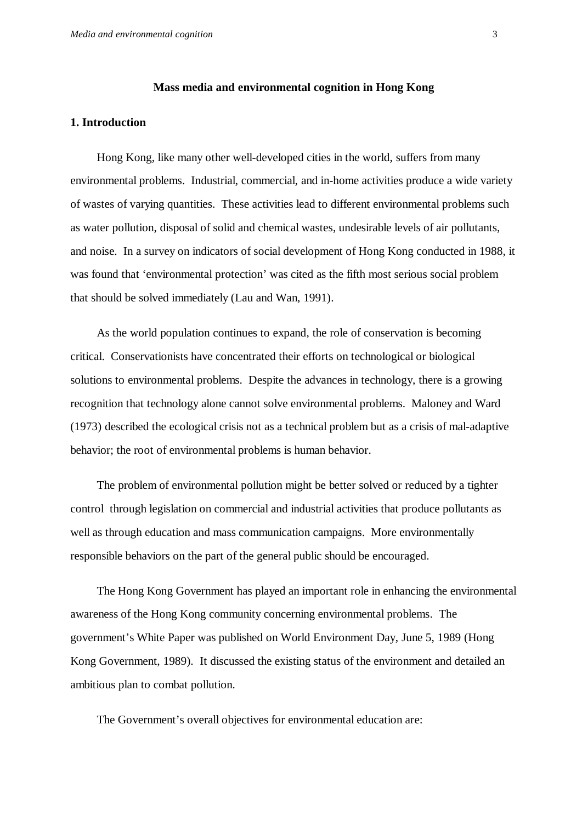### **1. Introduction**

Hong Kong, like many other well-developed cities in the world, suffers from many environmental problems. Industrial, commercial, and in-home activities produce a wide variety of wastes of varying quantities. These activities lead to different environmental problems such as water pollution, disposal of solid and chemical wastes, undesirable levels of air pollutants, and noise. In a survey on indicators of social development of Hong Kong conducted in 1988, it was found that 'environmental protection' was cited as the fifth most serious social problem that should be solved immediately (Lau and Wan, 1991).

As the world population continues to expand, the role of conservation is becoming critical. Conservationists have concentrated their efforts on technological or biological solutions to environmental problems. Despite the advances in technology, there is a growing recognition that technology alone cannot solve environmental problems. Maloney and Ward (1973) described the ecological crisis not as a technical problem but as a crisis of mal-adaptive behavior; the root of environmental problems is human behavior.

The problem of environmental pollution might be better solved or reduced by a tighter control through legislation on commercial and industrial activities that produce pollutants as well as through education and mass communication campaigns. More environmentally responsible behaviors on the part of the general public should be encouraged.

The Hong Kong Government has played an important role in enhancing the environmental awareness of the Hong Kong community concerning environmental problems. The government's White Paper was published on World Environment Day, June 5, 1989 (Hong Kong Government, 1989). It discussed the existing status of the environment and detailed an ambitious plan to combat pollution.

The Government's overall objectives for environmental education are: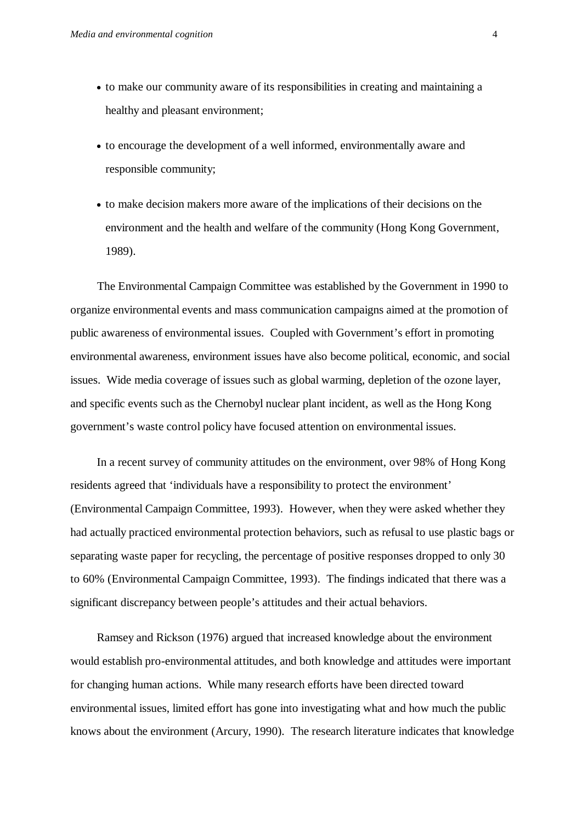- · to make our community aware of its responsibilities in creating and maintaining a healthy and pleasant environment;
- · to encourage the development of a well informed, environmentally aware and responsible community;
- · to make decision makers more aware of the implications of their decisions on the environment and the health and welfare of the community (Hong Kong Government, 1989).

The Environmental Campaign Committee was established by the Government in 1990 to organize environmental events and mass communication campaigns aimed at the promotion of public awareness of environmental issues. Coupled with Government's effort in promoting environmental awareness, environment issues have also become political, economic, and social issues. Wide media coverage of issues such as global warming, depletion of the ozone layer, and specific events such as the Chernobyl nuclear plant incident, as well as the Hong Kong government's waste control policy have focused attention on environmental issues.

In a recent survey of community attitudes on the environment, over 98% of Hong Kong residents agreed that 'individuals have a responsibility to protect the environment' (Environmental Campaign Committee, 1993). However, when they were asked whether they had actually practiced environmental protection behaviors, such as refusal to use plastic bags or separating waste paper for recycling, the percentage of positive responses dropped to only 30 to 60% (Environmental Campaign Committee, 1993). The findings indicated that there was a significant discrepancy between people's attitudes and their actual behaviors.

Ramsey and Rickson (1976) argued that increased knowledge about the environment would establish pro-environmental attitudes, and both knowledge and attitudes were important for changing human actions. While many research efforts have been directed toward environmental issues, limited effort has gone into investigating what and how much the public knows about the environment (Arcury, 1990). The research literature indicates that knowledge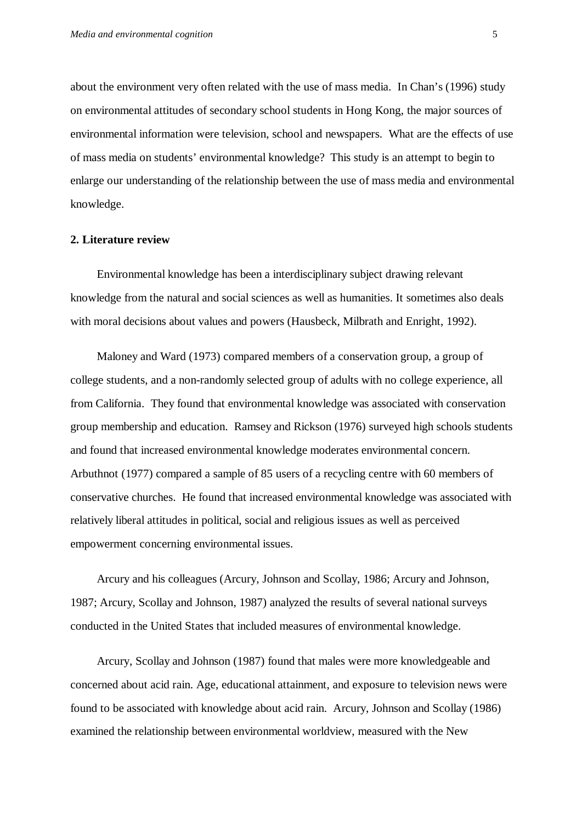about the environment very often related with the use of mass media. In Chan's (1996) study on environmental attitudes of secondary school students in Hong Kong, the major sources of environmental information were television, school and newspapers. What are the effects of use of mass media on students' environmental knowledge? This study is an attempt to begin to enlarge our understanding of the relationship between the use of mass media and environmental knowledge.

#### **2. Literature review**

Environmental knowledge has been a interdisciplinary subject drawing relevant knowledge from the natural and social sciences as well as humanities. It sometimes also deals with moral decisions about values and powers (Hausbeck, Milbrath and Enright, 1992).

Maloney and Ward (1973) compared members of a conservation group, a group of college students, and a non-randomly selected group of adults with no college experience, all from California. They found that environmental knowledge was associated with conservation group membership and education. Ramsey and Rickson (1976) surveyed high schools students and found that increased environmental knowledge moderates environmental concern. Arbuthnot (1977) compared a sample of 85 users of a recycling centre with 60 members of conservative churches. He found that increased environmental knowledge was associated with relatively liberal attitudes in political, social and religious issues as well as perceived empowerment concerning environmental issues.

Arcury and his colleagues (Arcury, Johnson and Scollay, 1986; Arcury and Johnson, 1987; Arcury, Scollay and Johnson, 1987) analyzed the results of several national surveys conducted in the United States that included measures of environmental knowledge.

Arcury, Scollay and Johnson (1987) found that males were more knowledgeable and concerned about acid rain. Age, educational attainment, and exposure to television news were found to be associated with knowledge about acid rain. Arcury, Johnson and Scollay (1986) examined the relationship between environmental worldview, measured with the New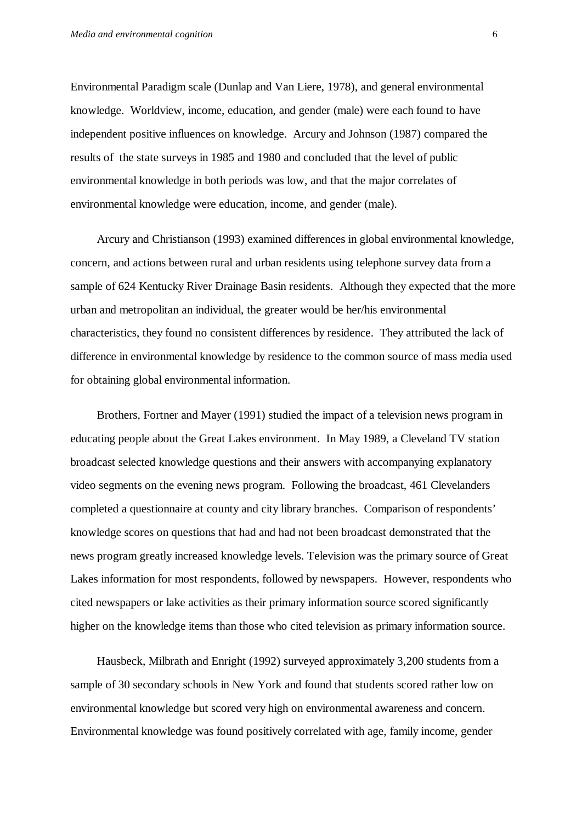Environmental Paradigm scale (Dunlap and Van Liere, 1978), and general environmental knowledge. Worldview, income, education, and gender (male) were each found to have independent positive influences on knowledge. Arcury and Johnson (1987) compared the results of the state surveys in 1985 and 1980 and concluded that the level of public environmental knowledge in both periods was low, and that the major correlates of environmental knowledge were education, income, and gender (male).

Arcury and Christianson (1993) examined differences in global environmental knowledge, concern, and actions between rural and urban residents using telephone survey data from a sample of 624 Kentucky River Drainage Basin residents. Although they expected that the more urban and metropolitan an individual, the greater would be her/his environmental characteristics, they found no consistent differences by residence. They attributed the lack of difference in environmental knowledge by residence to the common source of mass media used for obtaining global environmental information.

Brothers, Fortner and Mayer (1991) studied the impact of a television news program in educating people about the Great Lakes environment. In May 1989, a Cleveland TV station broadcast selected knowledge questions and their answers with accompanying explanatory video segments on the evening news program. Following the broadcast, 461 Clevelanders completed a questionnaire at county and city library branches. Comparison of respondents' knowledge scores on questions that had and had not been broadcast demonstrated that the news program greatly increased knowledge levels. Television was the primary source of Great Lakes information for most respondents, followed by newspapers. However, respondents who cited newspapers or lake activities as their primary information source scored significantly higher on the knowledge items than those who cited television as primary information source.

Hausbeck, Milbrath and Enright (1992) surveyed approximately 3,200 students from a sample of 30 secondary schools in New York and found that students scored rather low on environmental knowledge but scored very high on environmental awareness and concern. Environmental knowledge was found positively correlated with age, family income, gender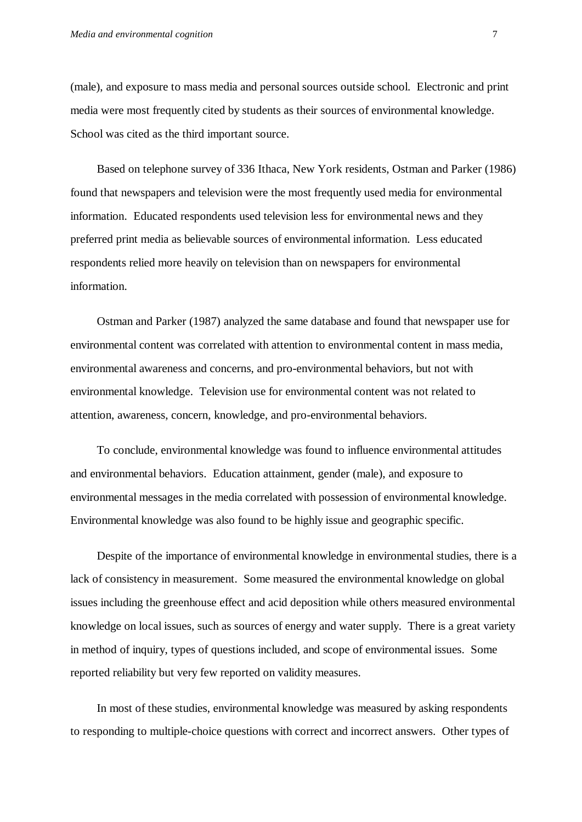(male), and exposure to mass media and personal sources outside school. Electronic and print media were most frequently cited by students as their sources of environmental knowledge. School was cited as the third important source.

Based on telephone survey of 336 Ithaca, New York residents, Ostman and Parker (1986) found that newspapers and television were the most frequently used media for environmental information. Educated respondents used television less for environmental news and they preferred print media as believable sources of environmental information. Less educated respondents relied more heavily on television than on newspapers for environmental information.

Ostman and Parker (1987) analyzed the same database and found that newspaper use for environmental content was correlated with attention to environmental content in mass media, environmental awareness and concerns, and pro-environmental behaviors, but not with environmental knowledge. Television use for environmental content was not related to attention, awareness, concern, knowledge, and pro-environmental behaviors.

To conclude, environmental knowledge was found to influence environmental attitudes and environmental behaviors. Education attainment, gender (male), and exposure to environmental messages in the media correlated with possession of environmental knowledge. Environmental knowledge was also found to be highly issue and geographic specific.

Despite of the importance of environmental knowledge in environmental studies, there is a lack of consistency in measurement. Some measured the environmental knowledge on global issues including the greenhouse effect and acid deposition while others measured environmental knowledge on local issues, such as sources of energy and water supply. There is a great variety in method of inquiry, types of questions included, and scope of environmental issues. Some reported reliability but very few reported on validity measures.

In most of these studies, environmental knowledge was measured by asking respondents to responding to multiple-choice questions with correct and incorrect answers. Other types of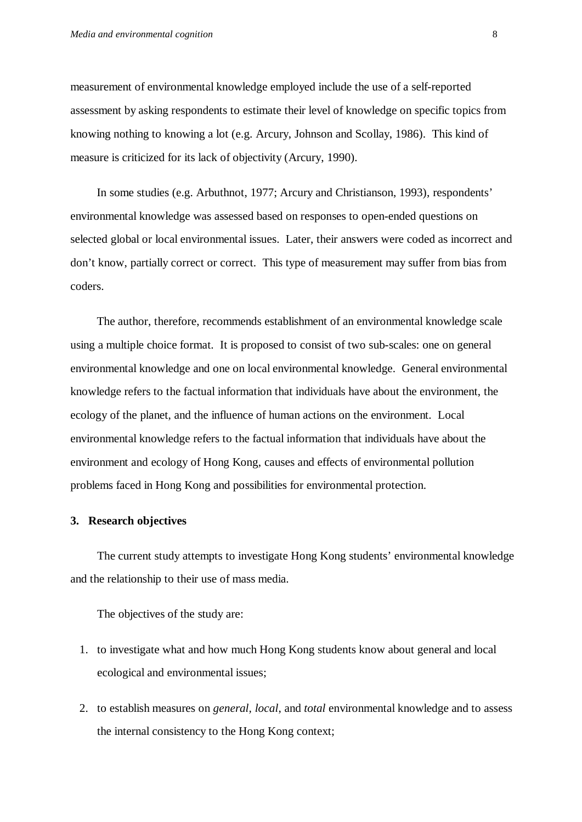measurement of environmental knowledge employed include the use of a self-reported assessment by asking respondents to estimate their level of knowledge on specific topics from knowing nothing to knowing a lot (e.g. Arcury, Johnson and Scollay, 1986). This kind of measure is criticized for its lack of objectivity (Arcury, 1990).

In some studies (e.g. Arbuthnot, 1977; Arcury and Christianson, 1993), respondents' environmental knowledge was assessed based on responses to open-ended questions on selected global or local environmental issues. Later, their answers were coded as incorrect and don't know, partially correct or correct. This type of measurement may suffer from bias from coders.

The author, therefore, recommends establishment of an environmental knowledge scale using a multiple choice format. It is proposed to consist of two sub-scales: one on general environmental knowledge and one on local environmental knowledge. General environmental knowledge refers to the factual information that individuals have about the environment, the ecology of the planet, and the influence of human actions on the environment. Local environmental knowledge refers to the factual information that individuals have about the environment and ecology of Hong Kong, causes and effects of environmental pollution problems faced in Hong Kong and possibilities for environmental protection.

#### **3. Research objectives**

The current study attempts to investigate Hong Kong students' environmental knowledge and the relationship to their use of mass media.

The objectives of the study are:

- 1. to investigate what and how much Hong Kong students know about general and local ecological and environmental issues;
- 2. to establish measures on *general, local*, and *total* environmental knowledge and to assess the internal consistency to the Hong Kong context;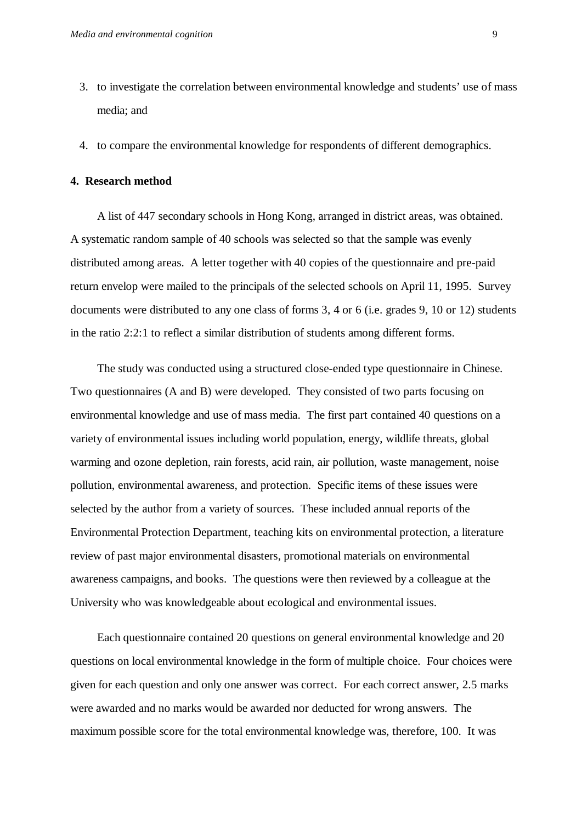- 3. to investigate the correlation between environmental knowledge and students' use of mass media; and
- 4. to compare the environmental knowledge for respondents of different demographics.

#### **4. Research method**

A list of 447 secondary schools in Hong Kong, arranged in district areas, was obtained. A systematic random sample of 40 schools was selected so that the sample was evenly distributed among areas. A letter together with 40 copies of the questionnaire and pre-paid return envelop were mailed to the principals of the selected schools on April 11, 1995. Survey documents were distributed to any one class of forms 3, 4 or 6 (i.e. grades 9, 10 or 12) students in the ratio 2:2:1 to reflect a similar distribution of students among different forms.

The study was conducted using a structured close-ended type questionnaire in Chinese. Two questionnaires (A and B) were developed. They consisted of two parts focusing on environmental knowledge and use of mass media. The first part contained 40 questions on a variety of environmental issues including world population, energy, wildlife threats, global warming and ozone depletion, rain forests, acid rain, air pollution, waste management, noise pollution, environmental awareness, and protection. Specific items of these issues were selected by the author from a variety of sources. These included annual reports of the Environmental Protection Department, teaching kits on environmental protection, a literature review of past major environmental disasters, promotional materials on environmental awareness campaigns, and books. The questions were then reviewed by a colleague at the University who was knowledgeable about ecological and environmental issues.

Each questionnaire contained 20 questions on general environmental knowledge and 20 questions on local environmental knowledge in the form of multiple choice. Four choices were given for each question and only one answer was correct. For each correct answer, 2.5 marks were awarded and no marks would be awarded nor deducted for wrong answers. The maximum possible score for the total environmental knowledge was, therefore, 100. It was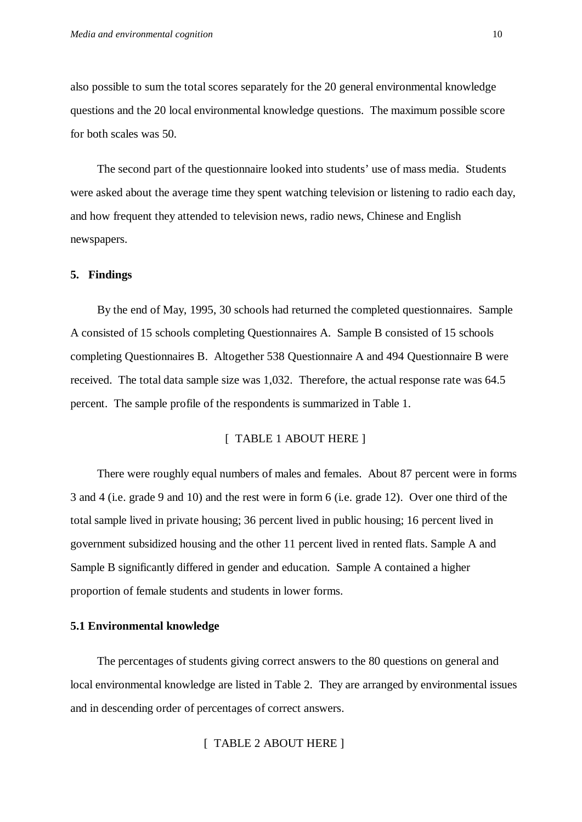also possible to sum the total scores separately for the 20 general environmental knowledge questions and the 20 local environmental knowledge questions. The maximum possible score for both scales was 50.

The second part of the questionnaire looked into students' use of mass media. Students were asked about the average time they spent watching television or listening to radio each day, and how frequent they attended to television news, radio news, Chinese and English newspapers.

#### **5. Findings**

By the end of May, 1995, 30 schools had returned the completed questionnaires. Sample A consisted of 15 schools completing Questionnaires A. Sample B consisted of 15 schools completing Questionnaires B. Altogether 538 Questionnaire A and 494 Questionnaire B were received. The total data sample size was 1,032. Therefore, the actual response rate was 64.5 percent. The sample profile of the respondents is summarized in Table 1.

### [ TABLE 1 ABOUT HERE ]

There were roughly equal numbers of males and females. About 87 percent were in forms 3 and 4 (i.e. grade 9 and 10) and the rest were in form 6 (i.e. grade 12). Over one third of the total sample lived in private housing; 36 percent lived in public housing; 16 percent lived in government subsidized housing and the other 11 percent lived in rented flats. Sample A and Sample B significantly differed in gender and education. Sample A contained a higher proportion of female students and students in lower forms.

#### **5.1 Environmental knowledge**

The percentages of students giving correct answers to the 80 questions on general and local environmental knowledge are listed in Table 2. They are arranged by environmental issues and in descending order of percentages of correct answers.

```
 [ TABLE 2 ABOUT HERE ]
```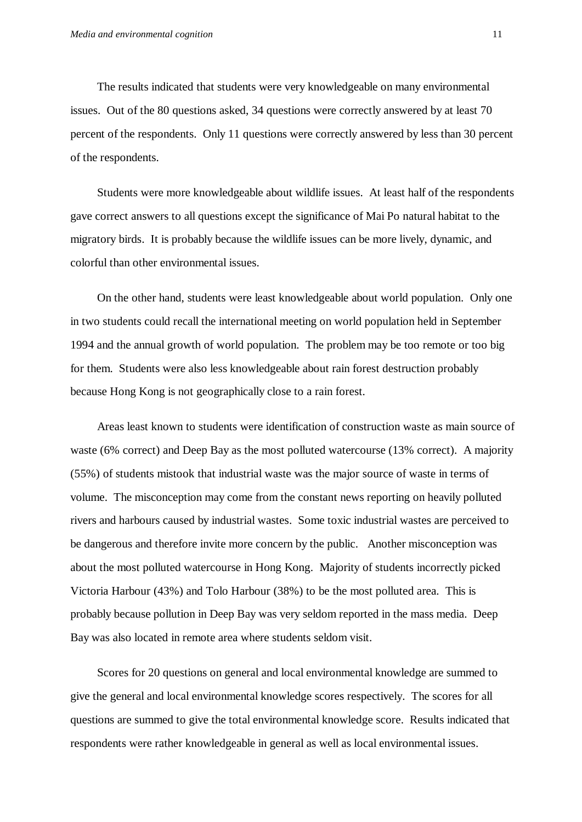The results indicated that students were very knowledgeable on many environmental issues. Out of the 80 questions asked, 34 questions were correctly answered by at least 70 percent of the respondents. Only 11 questions were correctly answered by less than 30 percent of the respondents.

Students were more knowledgeable about wildlife issues. At least half of the respondents gave correct answers to all questions except the significance of Mai Po natural habitat to the migratory birds. It is probably because the wildlife issues can be more lively, dynamic, and colorful than other environmental issues.

On the other hand, students were least knowledgeable about world population. Only one in two students could recall the international meeting on world population held in September 1994 and the annual growth of world population. The problem may be too remote or too big for them. Students were also less knowledgeable about rain forest destruction probably because Hong Kong is not geographically close to a rain forest.

Areas least known to students were identification of construction waste as main source of waste (6% correct) and Deep Bay as the most polluted watercourse (13% correct). A majority (55%) of students mistook that industrial waste was the major source of waste in terms of volume. The misconception may come from the constant news reporting on heavily polluted rivers and harbours caused by industrial wastes. Some toxic industrial wastes are perceived to be dangerous and therefore invite more concern by the public. Another misconception was about the most polluted watercourse in Hong Kong. Majority of students incorrectly picked Victoria Harbour (43%) and Tolo Harbour (38%) to be the most polluted area. This is probably because pollution in Deep Bay was very seldom reported in the mass media. Deep Bay was also located in remote area where students seldom visit.

Scores for 20 questions on general and local environmental knowledge are summed to give the general and local environmental knowledge scores respectively. The scores for all questions are summed to give the total environmental knowledge score. Results indicated that respondents were rather knowledgeable in general as well as local environmental issues.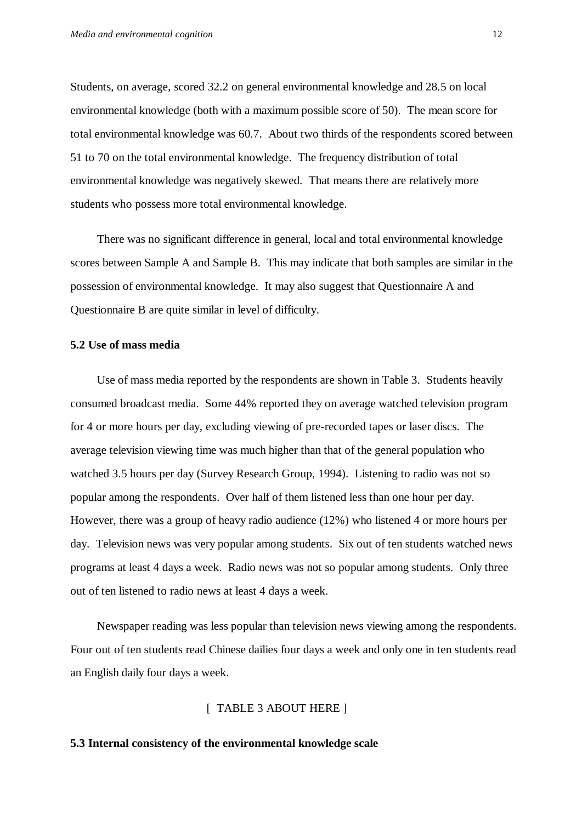Students, on average, scored 32.2 on general environmental knowledge and 28.5 on local environmental knowledge (both with a maximum possible score of 50). The mean score for total environmental knowledge was 60.7. About two thirds of the respondents scored between 51 to 70 on the total environmental knowledge. The frequency distribution of total environmental knowledge was negatively skewed. That means there are relatively more students who possess more total environmental knowledge.

There was no significant difference in general, local and total environmental knowledge scores between Sample A and Sample B. This may indicate that both samples are similar in the possession of environmental knowledge. It may also suggest that Questionnaire A and Questionnaire B are quite similar in level of difficulty.

#### **5.2 Use of mass media**

Use of mass media reported by the respondents are shown in Table 3. Students heavily consumed broadcast media. Some 44% reported they on average watched television program for 4 or more hours per day, excluding viewing of pre-recorded tapes or laser discs. The average television viewing time was much higher than that of the general population who watched 3.5 hours per day (Survey Research Group, 1994). Listening to radio was not so popular among the respondents. Over half of them listened less than one hour per day. However, there was a group of heavy radio audience (12%) who listened 4 or more hours per day. Television news was very popular among students. Six out of ten students watched news programs at least 4 days a week. Radio news was not so popular among students. Only three out of ten listened to radio news at least 4 days a week.

Newspaper reading was less popular than television news viewing among the respondents. Four out of ten students read Chinese dailies four days a week and only one in ten students read an English daily four days a week.

#### [ TABLE 3 ABOUT HERE ]

#### **5.3 Internal consistency of the environmental knowledge scale**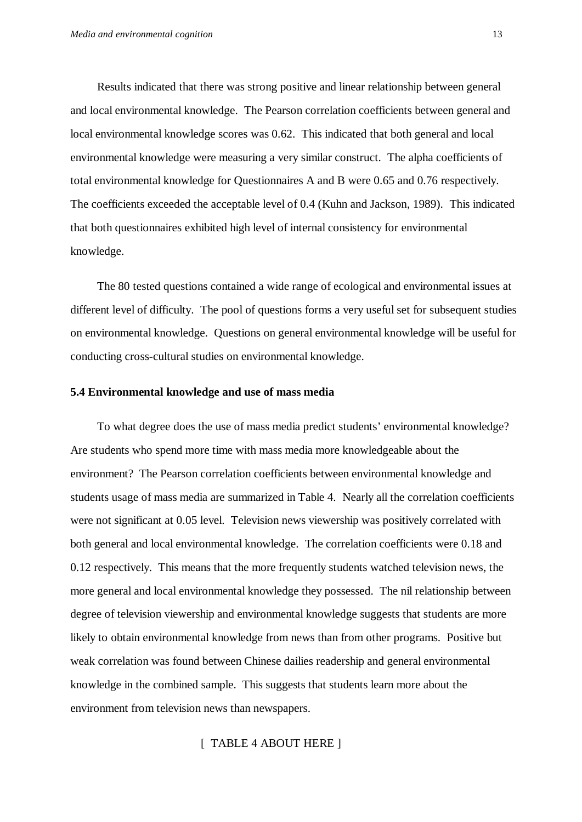Results indicated that there was strong positive and linear relationship between general and local environmental knowledge. The Pearson correlation coefficients between general and local environmental knowledge scores was 0.62. This indicated that both general and local environmental knowledge were measuring a very similar construct. The alpha coefficients of total environmental knowledge for Questionnaires A and B were 0.65 and 0.76 respectively. The coefficients exceeded the acceptable level of 0.4 (Kuhn and Jackson, 1989). This indicated that both questionnaires exhibited high level of internal consistency for environmental knowledge.

The 80 tested questions contained a wide range of ecological and environmental issues at different level of difficulty. The pool of questions forms a very useful set for subsequent studies on environmental knowledge. Questions on general environmental knowledge will be useful for conducting cross-cultural studies on environmental knowledge.

#### **5.4 Environmental knowledge and use of mass media**

To what degree does the use of mass media predict students' environmental knowledge? Are students who spend more time with mass media more knowledgeable about the environment? The Pearson correlation coefficients between environmental knowledge and students usage of mass media are summarized in Table 4. Nearly all the correlation coefficients were not significant at 0.05 level. Television news viewership was positively correlated with both general and local environmental knowledge. The correlation coefficients were 0.18 and 0.12 respectively. This means that the more frequently students watched television news, the more general and local environmental knowledge they possessed. The nil relationship between degree of television viewership and environmental knowledge suggests that students are more likely to obtain environmental knowledge from news than from other programs. Positive but weak correlation was found between Chinese dailies readership and general environmental knowledge in the combined sample. This suggests that students learn more about the environment from television news than newspapers.

#### [ TABLE 4 ABOUT HERE ]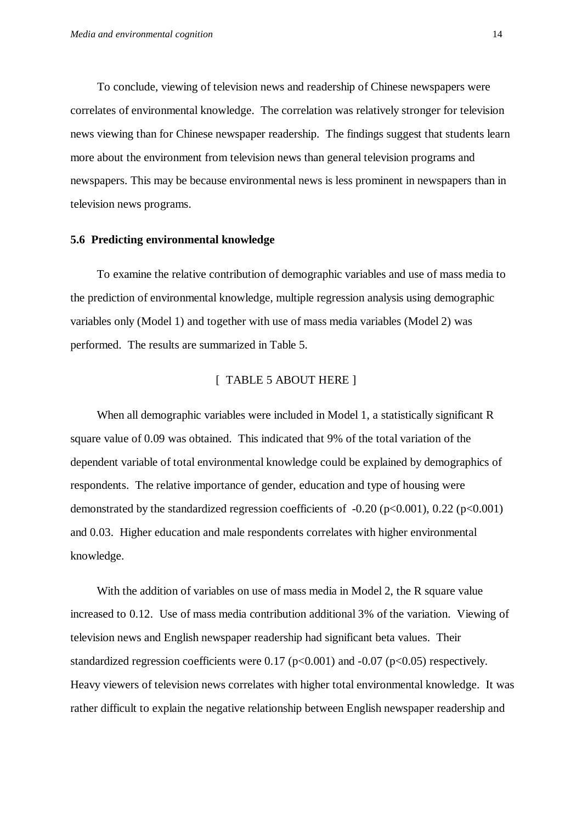To conclude, viewing of television news and readership of Chinese newspapers were correlates of environmental knowledge. The correlation was relatively stronger for television news viewing than for Chinese newspaper readership. The findings suggest that students learn more about the environment from television news than general television programs and newspapers. This may be because environmental news is less prominent in newspapers than in television news programs.

#### **5.6 Predicting environmental knowledge**

To examine the relative contribution of demographic variables and use of mass media to the prediction of environmental knowledge, multiple regression analysis using demographic variables only (Model 1) and together with use of mass media variables (Model 2) was performed. The results are summarized in Table 5.

### [ TABLE 5 ABOUT HERE ]

When all demographic variables were included in Model 1, a statistically significant R square value of 0.09 was obtained. This indicated that 9% of the total variation of the dependent variable of total environmental knowledge could be explained by demographics of respondents. The relative importance of gender, education and type of housing were demonstrated by the standardized regression coefficients of  $-0.20$  (p $<0.001$ ), 0.22 (p $<0.001$ ) and 0.03. Higher education and male respondents correlates with higher environmental knowledge.

With the addition of variables on use of mass media in Model 2, the R square value increased to 0.12. Use of mass media contribution additional 3% of the variation. Viewing of television news and English newspaper readership had significant beta values. Their standardized regression coefficients were  $0.17$  (p<0.001) and  $-0.07$  (p<0.05) respectively. Heavy viewers of television news correlates with higher total environmental knowledge. It was rather difficult to explain the negative relationship between English newspaper readership and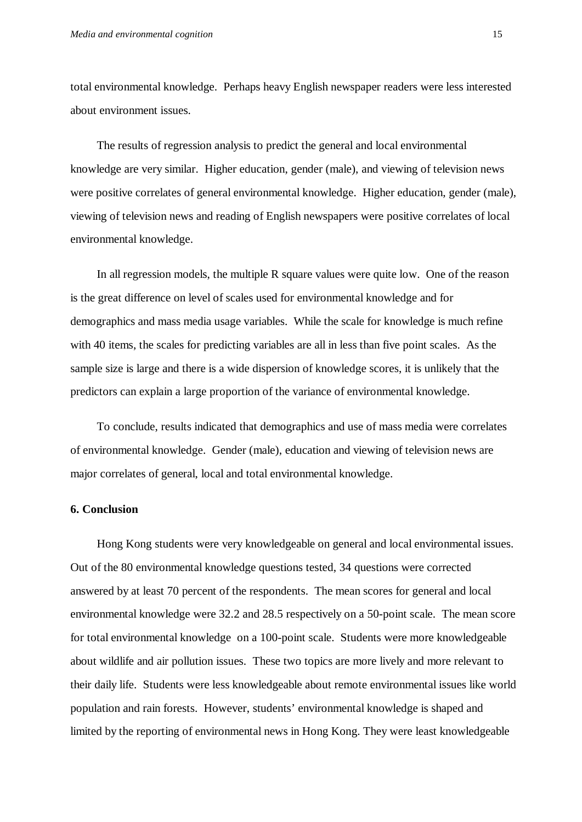total environmental knowledge. Perhaps heavy English newspaper readers were less interested about environment issues.

The results of regression analysis to predict the general and local environmental knowledge are very similar. Higher education, gender (male), and viewing of television news were positive correlates of general environmental knowledge. Higher education, gender (male), viewing of television news and reading of English newspapers were positive correlates of local environmental knowledge.

In all regression models, the multiple R square values were quite low. One of the reason is the great difference on level of scales used for environmental knowledge and for demographics and mass media usage variables. While the scale for knowledge is much refine with 40 items, the scales for predicting variables are all in less than five point scales. As the sample size is large and there is a wide dispersion of knowledge scores, it is unlikely that the predictors can explain a large proportion of the variance of environmental knowledge.

To conclude, results indicated that demographics and use of mass media were correlates of environmental knowledge. Gender (male), education and viewing of television news are major correlates of general, local and total environmental knowledge.

### **6. Conclusion**

Hong Kong students were very knowledgeable on general and local environmental issues. Out of the 80 environmental knowledge questions tested, 34 questions were corrected answered by at least 70 percent of the respondents. The mean scores for general and local environmental knowledge were 32.2 and 28.5 respectively on a 50-point scale. The mean score for total environmental knowledge on a 100-point scale. Students were more knowledgeable about wildlife and air pollution issues. These two topics are more lively and more relevant to their daily life. Students were less knowledgeable about remote environmental issues like world population and rain forests. However, students' environmental knowledge is shaped and limited by the reporting of environmental news in Hong Kong. They were least knowledgeable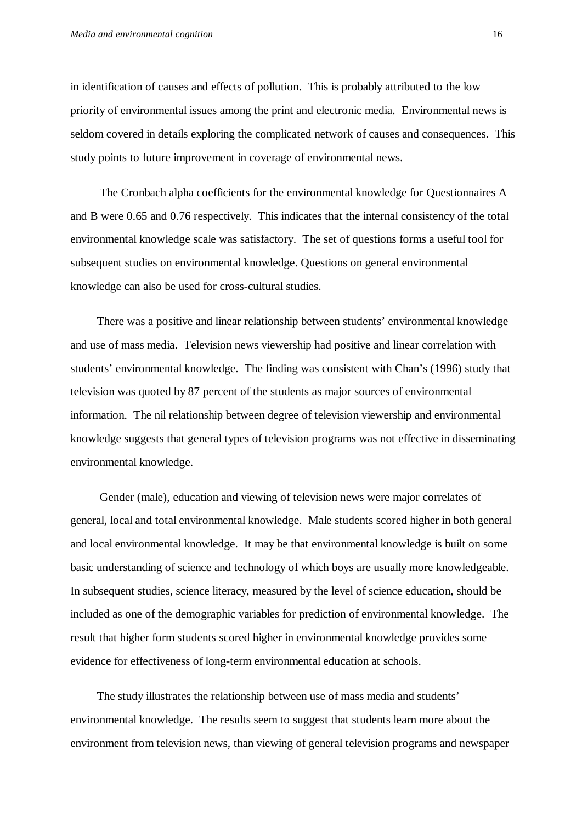in identification of causes and effects of pollution. This is probably attributed to the low priority of environmental issues among the print and electronic media. Environmental news is seldom covered in details exploring the complicated network of causes and consequences. This study points to future improvement in coverage of environmental news.

 The Cronbach alpha coefficients for the environmental knowledge for Questionnaires A and B were 0.65 and 0.76 respectively. This indicates that the internal consistency of the total environmental knowledge scale was satisfactory. The set of questions forms a useful tool for subsequent studies on environmental knowledge. Questions on general environmental knowledge can also be used for cross-cultural studies.

There was a positive and linear relationship between students' environmental knowledge and use of mass media. Television news viewership had positive and linear correlation with students' environmental knowledge. The finding was consistent with Chan's (1996) study that television was quoted by 87 percent of the students as major sources of environmental information. The nil relationship between degree of television viewership and environmental knowledge suggests that general types of television programs was not effective in disseminating environmental knowledge.

 Gender (male), education and viewing of television news were major correlates of general, local and total environmental knowledge. Male students scored higher in both general and local environmental knowledge. It may be that environmental knowledge is built on some basic understanding of science and technology of which boys are usually more knowledgeable. In subsequent studies, science literacy, measured by the level of science education, should be included as one of the demographic variables for prediction of environmental knowledge. The result that higher form students scored higher in environmental knowledge provides some evidence for effectiveness of long-term environmental education at schools.

The study illustrates the relationship between use of mass media and students' environmental knowledge. The results seem to suggest that students learn more about the environment from television news, than viewing of general television programs and newspaper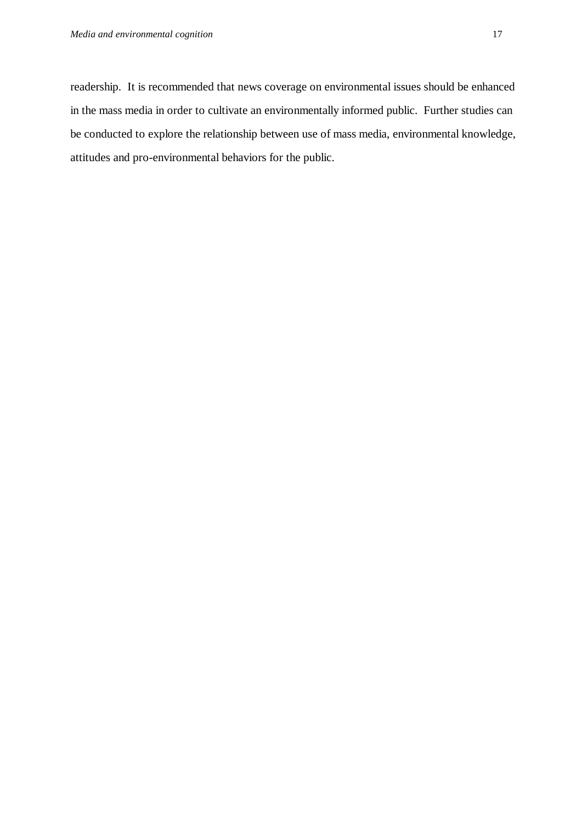readership. It is recommended that news coverage on environmental issues should be enhanced in the mass media in order to cultivate an environmentally informed public. Further studies can be conducted to explore the relationship between use of mass media, environmental knowledge, attitudes and pro-environmental behaviors for the public.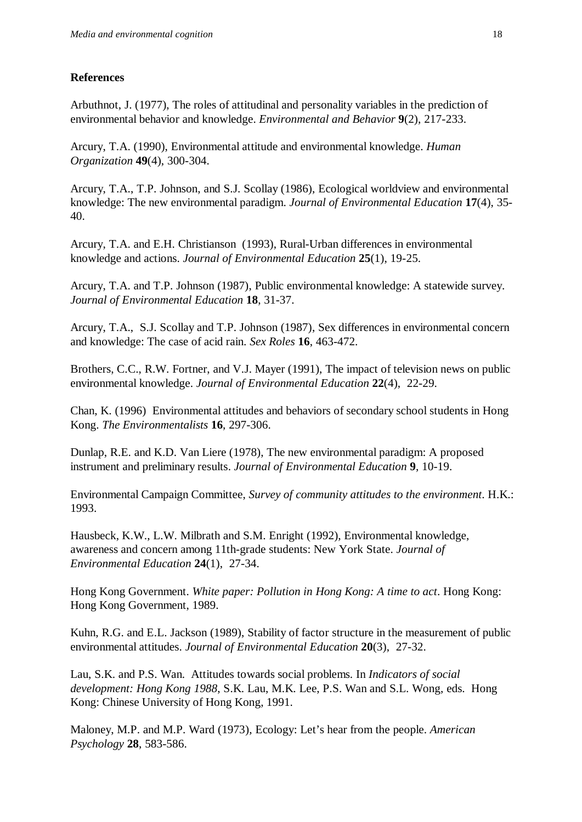## **References**

Arbuthnot, J. (1977), The roles of attitudinal and personality variables in the prediction of environmental behavior and knowledge. *Environmental and Behavior* **9**(2), 217-233.

Arcury, T.A. (1990), Environmental attitude and environmental knowledge. *Human Organization* **49**(4), 300-304.

Arcury, T.A., T.P. Johnson, and S.J. Scollay (1986), Ecological worldview and environmental knowledge: The new environmental paradigm. *Journal of Environmental Education* **17**(4), 35- 40.

Arcury, T.A. and E.H. Christianson (1993), Rural-Urban differences in environmental knowledge and actions. *Journal of Environmental Education* **25**(1), 19-25.

Arcury, T.A. and T.P. Johnson (1987), Public environmental knowledge: A statewide survey. *Journal of Environmental Education* **18**, 31-37.

Arcury, T.A., S.J. Scollay and T.P. Johnson (1987), Sex differences in environmental concern and knowledge: The case of acid rain. *Sex Roles* **16**, 463-472.

Brothers, C.C., R.W. Fortner, and V.J. Mayer (1991), The impact of television news on public environmental knowledge. *Journal of Environmental Education* **22**(4), 22-29.

Chan, K. (1996) Environmental attitudes and behaviors of secondary school students in Hong Kong. *The Environmentalists* **16**, 297-306.

Dunlap, R.E. and K.D. Van Liere (1978), The new environmental paradigm: A proposed instrument and preliminary results. *Journal of Environmental Education* **9**, 10-19.

Environmental Campaign Committee, *Survey of community attitudes to the environment*. H.K.: 1993.

Hausbeck, K.W., L.W. Milbrath and S.M. Enright (1992), Environmental knowledge, awareness and concern among 11th-grade students: New York State. *Journal of Environmental Education* **24**(1), 27-34.

Hong Kong Government. *White paper: Pollution in Hong Kong: A time to act*. Hong Kong: Hong Kong Government, 1989.

Kuhn, R.G. and E.L. Jackson (1989), Stability of factor structure in the measurement of public environmental attitudes. *Journal of Environmental Education* **20**(3), 27-32.

Lau, S.K. and P.S. Wan. Attitudes towards social problems. In *Indicators of social development: Hong Kong 1988*, S.K. Lau, M.K. Lee, P.S. Wan and S.L. Wong, eds. Hong Kong: Chinese University of Hong Kong, 1991.

Maloney, M.P. and M.P. Ward (1973), Ecology: Let's hear from the people. *American Psychology* **28**, 583-586.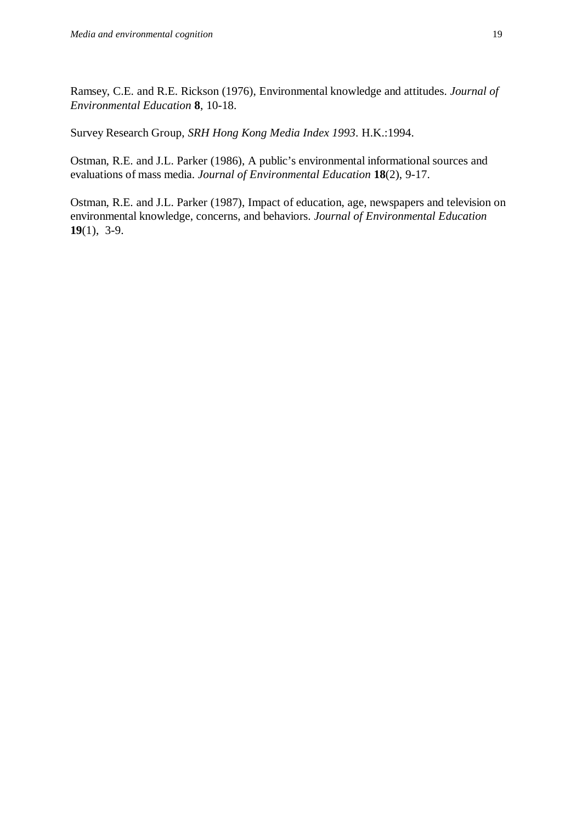Ramsey, C.E. and R.E. Rickson (1976), Environmental knowledge and attitudes. *Journal of Environmental Education* **8**, 10-18.

Survey Research Group, *SRH Hong Kong Media Index 1993*. H.K.:1994.

Ostman, R.E. and J.L. Parker (1986), A public's environmental informational sources and evaluations of mass media. *Journal of Environmental Education* **18**(2), 9-17.

Ostman, R.E. and J.L. Parker (1987), Impact of education, age, newspapers and television on environmental knowledge, concerns, and behaviors. *Journal of Environmental Education* **19**(1), 3-9.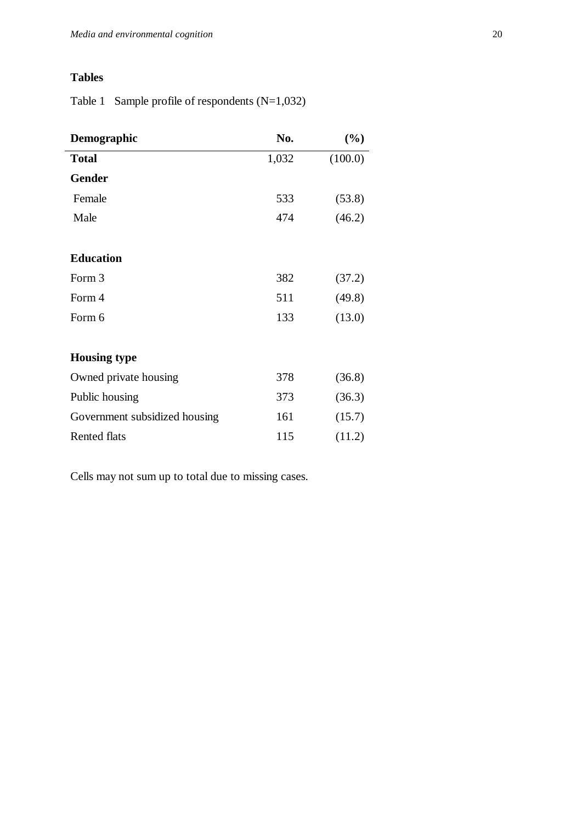## **Tables**

Table 1 Sample profile of respondents (N=1,032)

| Demographic                   | No.   | (%)     |
|-------------------------------|-------|---------|
| <b>Total</b>                  | 1,032 | (100.0) |
| <b>Gender</b>                 |       |         |
| Female                        | 533   | (53.8)  |
| Male                          | 474   | (46.2)  |
|                               |       |         |
| <b>Education</b>              |       |         |
| Form 3                        | 382   | (37.2)  |
| Form 4                        | 511   | (49.8)  |
| Form 6                        | 133   | (13.0)  |
|                               |       |         |
| <b>Housing type</b>           |       |         |
| Owned private housing         | 378   | (36.8)  |
| Public housing                | 373   | (36.3)  |
| Government subsidized housing | 161   | (15.7)  |
| Rented flats                  | 115   | (11.2)  |

Cells may not sum up to total due to missing cases.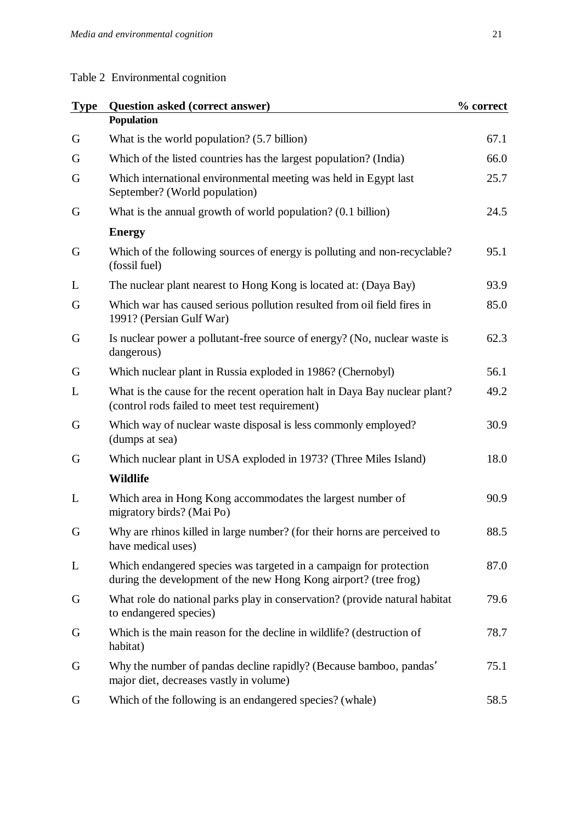# Table 2 Environmental cognition

| <b>Type</b> | Question asked (correct answer)                                                                                                        | % correct |
|-------------|----------------------------------------------------------------------------------------------------------------------------------------|-----------|
|             | <b>Population</b>                                                                                                                      |           |
| G           | What is the world population? (5.7 billion)                                                                                            | 67.1      |
| G           | Which of the listed countries has the largest population? (India)                                                                      | 66.0      |
| G           | Which international environmental meeting was held in Egypt last<br>September? (World population)                                      | 25.7      |
| G           | What is the annual growth of world population? (0.1 billion)                                                                           | 24.5      |
|             | <b>Energy</b>                                                                                                                          |           |
| G           | Which of the following sources of energy is polluting and non-recyclable?<br>(fossil fuel)                                             | 95.1      |
| L           | The nuclear plant nearest to Hong Kong is located at: (Daya Bay)                                                                       | 93.9      |
| G           | Which war has caused serious pollution resulted from oil field fires in<br>1991? (Persian Gulf War)                                    | 85.0      |
| G           | Is nuclear power a pollutant-free source of energy? (No, nuclear waste is<br>dangerous)                                                | 62.3      |
| G           | Which nuclear plant in Russia exploded in 1986? (Chernobyl)                                                                            | 56.1      |
| L           | What is the cause for the recent operation halt in Daya Bay nuclear plant?<br>(control rods failed to meet test requirement)           | 49.2      |
| G           | Which way of nuclear waste disposal is less commonly employed?<br>(dumps at sea)                                                       | 30.9      |
| G           | Which nuclear plant in USA exploded in 1973? (Three Miles Island)                                                                      | 18.0      |
|             | <b>Wildlife</b>                                                                                                                        |           |
| L           | Which area in Hong Kong accommodates the largest number of<br>migratory birds? (Mai Po)                                                | 90.9      |
| G           | Why are rhinos killed in large number? (for their horns are perceived to<br>have medical uses)                                         | 88.5      |
| L           | Which endangered species was targeted in a campaign for protection<br>during the development of the new Hong Kong airport? (tree frog) |           |
| G           | What role do national parks play in conservation? (provide natural habitat<br>to endangered species)                                   |           |
| G           | Which is the main reason for the decline in wildlife? (destruction of<br>habitat)                                                      | 78.7      |
| G           | Why the number of pandas decline rapidly? (Because bamboo, pandas'<br>major diet, decreases vastly in volume)                          | 75.1      |
| G           | Which of the following is an endangered species? (whale)                                                                               | 58.5      |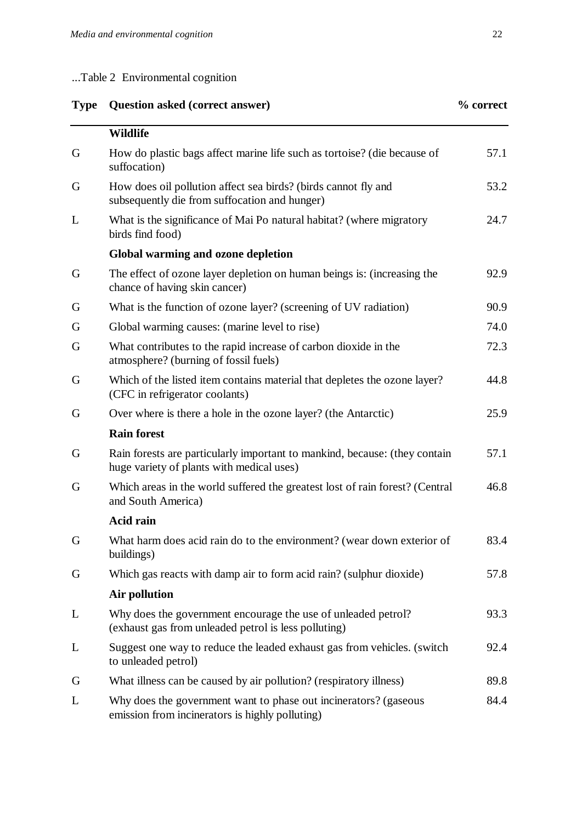# ...Table 2 Environmental cognition

# **Type Question asked (correct answer) % correct**

|   | <b>Wildlife</b>                                                                                                         |      |
|---|-------------------------------------------------------------------------------------------------------------------------|------|
| G | How do plastic bags affect marine life such as tortoise? (die because of<br>suffocation)                                | 57.1 |
| G | How does oil pollution affect sea birds? (birds cannot fly and<br>subsequently die from suffocation and hunger)         | 53.2 |
| L | What is the significance of Mai Po natural habitat? (where migratory<br>birds find food)                                | 24.7 |
|   | Global warming and ozone depletion                                                                                      |      |
| G | The effect of ozone layer depletion on human beings is: (increasing the<br>chance of having skin cancer)                | 92.9 |
| G | What is the function of ozone layer? (screening of UV radiation)                                                        | 90.9 |
| G | Global warming causes: (marine level to rise)                                                                           | 74.0 |
| G | What contributes to the rapid increase of carbon dioxide in the<br>atmosphere? (burning of fossil fuels)                | 72.3 |
| G | Which of the listed item contains material that depletes the ozone layer?<br>(CFC in refrigerator coolants)             | 44.8 |
| G | Over where is there a hole in the ozone layer? (the Antarctic)                                                          | 25.9 |
|   | <b>Rain forest</b>                                                                                                      |      |
| G | Rain forests are particularly important to mankind, because: (they contain<br>huge variety of plants with medical uses) | 57.1 |
| G | Which areas in the world suffered the greatest lost of rain forest? (Central<br>and South America)                      | 46.8 |
|   | <b>Acid rain</b>                                                                                                        |      |
| G | What harm does acid rain do to the environment? (wear down exterior of<br>buildings)                                    | 83.4 |
| G | Which gas reacts with damp air to form acid rain? (sulphur dioxide)                                                     | 57.8 |
|   | <b>Air pollution</b>                                                                                                    |      |
| L | Why does the government encourage the use of unleaded petrol?<br>(exhaust gas from unleaded petrol is less polluting)   | 93.3 |
| L | Suggest one way to reduce the leaded exhaust gas from vehicles. (switch<br>to unleaded petrol)                          | 92.4 |
| G | What illness can be caused by air pollution? (respiratory illness)                                                      | 89.8 |
| L | Why does the government want to phase out incinerators? (gaseous<br>emission from incinerators is highly polluting)     | 84.4 |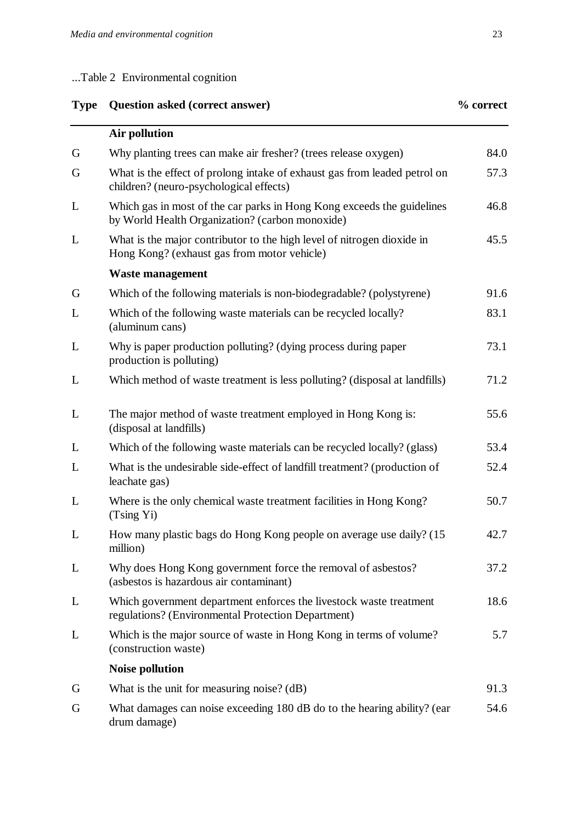# ...Table 2 Environmental cognition

# **Type Question asked (correct answer) % correct**

|   | Air pollution                                                                                                             |      |
|---|---------------------------------------------------------------------------------------------------------------------------|------|
| G | Why planting trees can make air fresher? (trees release oxygen)                                                           | 84.0 |
| G | What is the effect of prolong intake of exhaust gas from leaded petrol on<br>children? (neuro-psychological effects)      | 57.3 |
| L | Which gas in most of the car parks in Hong Kong exceeds the guidelines<br>by World Health Organization? (carbon monoxide) | 46.8 |
| L | What is the major contributor to the high level of nitrogen dioxide in<br>Hong Kong? (exhaust gas from motor vehicle)     | 45.5 |
|   | <b>Waste management</b>                                                                                                   |      |
| G | Which of the following materials is non-biodegradable? (polystyrene)                                                      | 91.6 |
| L | Which of the following waste materials can be recycled locally?<br>(aluminum cans)                                        | 83.1 |
| L | Why is paper production polluting? (dying process during paper<br>production is polluting)                                | 73.1 |
| L | Which method of waste treatment is less polluting? (disposal at landfills)                                                | 71.2 |
| L | The major method of waste treatment employed in Hong Kong is:<br>(disposal at landfills)                                  | 55.6 |
| L | Which of the following waste materials can be recycled locally? (glass)                                                   | 53.4 |
| L | What is the undesirable side-effect of landfill treatment? (production of<br>leachate gas)                                | 52.4 |
| L | Where is the only chemical waste treatment facilities in Hong Kong?<br>(Tsing Yi)                                         | 50.7 |
| L | How many plastic bags do Hong Kong people on average use daily? (15<br>million)                                           | 42.7 |
| L | Why does Hong Kong government force the removal of asbestos?<br>(asbestos is hazardous air contaminant)                   | 37.2 |
| L | Which government department enforces the livestock waste treatment<br>regulations? (Environmental Protection Department)  | 18.6 |
| L | Which is the major source of waste in Hong Kong in terms of volume?<br>(construction waste)                               | 5.7  |
|   | <b>Noise pollution</b>                                                                                                    |      |
| G | What is the unit for measuring noise? (dB)                                                                                | 91.3 |
| G | What damages can noise exceeding 180 dB do to the hearing ability? (ear<br>drum damage)                                   | 54.6 |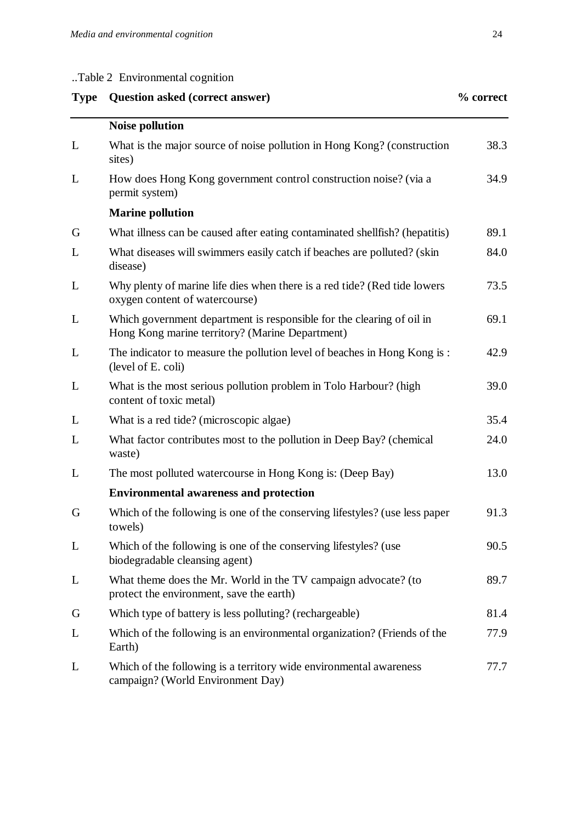## ..Table 2 Environmental cognition

| <b>Type</b> | <b>Question asked (correct answer)</b>                                                                                   | % correct |
|-------------|--------------------------------------------------------------------------------------------------------------------------|-----------|
|             | <b>Noise pollution</b>                                                                                                   |           |
| L           | What is the major source of noise pollution in Hong Kong? (construction<br>sites)                                        | 38.3      |
| L           | How does Hong Kong government control construction noise? (via a<br>permit system)                                       | 34.9      |
|             | <b>Marine pollution</b>                                                                                                  |           |
| G           | What illness can be caused after eating contaminated shellfish? (hepatitis)                                              | 89.1      |
| L           | What diseases will swimmers easily catch if beaches are polluted? (skin<br>disease)                                      | 84.0      |
| L           | Why plenty of marine life dies when there is a red tide? (Red tide lowers<br>oxygen content of watercourse)              | 73.5      |
| L           | Which government department is responsible for the clearing of oil in<br>Hong Kong marine territory? (Marine Department) | 69.1      |
| L           | The indicator to measure the pollution level of beaches in Hong Kong is:<br>(level of E. coli)                           | 42.9      |
| L           | What is the most serious pollution problem in Tolo Harbour? (high<br>content of toxic metal)                             | 39.0      |
| L           | What is a red tide? (microscopic algae)                                                                                  | 35.4      |
| L           | What factor contributes most to the pollution in Deep Bay? (chemical<br>waste)                                           | 24.0      |
| L           | The most polluted watercourse in Hong Kong is: (Deep Bay)                                                                | 13.0      |
|             | <b>Environmental awareness and protection</b>                                                                            |           |
| G           | Which of the following is one of the conserving lifestyles? (use less paper<br>towels)                                   | 91.3      |
| L           | Which of the following is one of the conserving lifestyles? (use<br>biodegradable cleansing agent)                       | 90.5      |
| L           | What theme does the Mr. World in the TV campaign advocate? (to<br>protect the environment, save the earth)               | 89.7      |
| G           | Which type of battery is less polluting? (rechargeable)                                                                  | 81.4      |
| L           | Which of the following is an environmental organization? (Friends of the<br>Earth)                                       | 77.9      |
| L           | Which of the following is a territory wide environmental awareness<br>campaign? (World Environment Day)                  | 77.7      |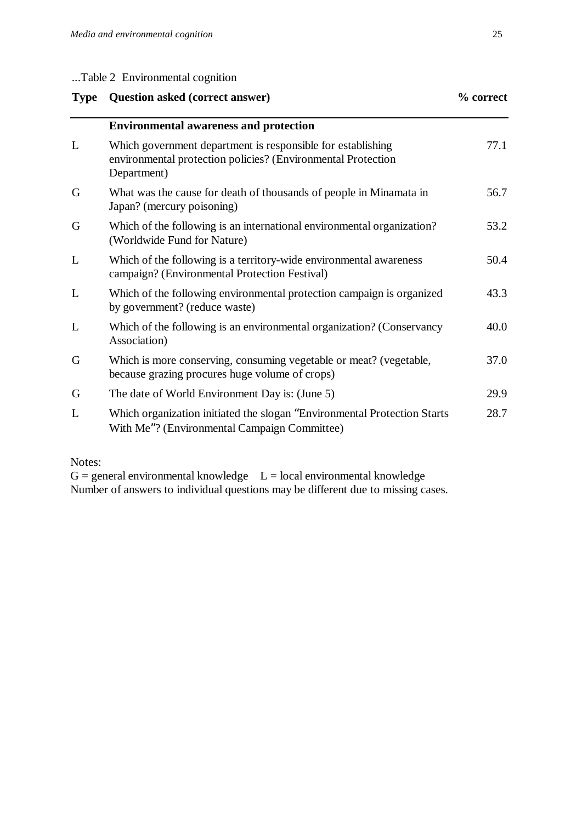...Table 2 Environmental cognition

| <b>Type</b> | <b>Question asked (correct answer)</b>                                                                                                     | % correct |
|-------------|--------------------------------------------------------------------------------------------------------------------------------------------|-----------|
|             | <b>Environmental awareness and protection</b>                                                                                              |           |
| L           | Which government department is responsible for establishing<br>environmental protection policies? (Environmental Protection<br>Department) | 77.1      |
| G           | What was the cause for death of thousands of people in Minamata in<br>Japan? (mercury poisoning)                                           | 56.7      |
| G           | Which of the following is an international environmental organization?<br>(Worldwide Fund for Nature)                                      | 53.2      |
| L           | Which of the following is a territory-wide environmental awareness<br>campaign? (Environmental Protection Festival)                        | 50.4      |
| L           | Which of the following environmental protection campaign is organized<br>by government? (reduce waste)                                     | 43.3      |
| L           | Which of the following is an environmental organization? (Conservancy<br>Association)                                                      | 40.0      |
| G           | Which is more conserving, consuming vegetable or meat? (vegetable,<br>because grazing procures huge volume of crops)                       | 37.0      |
| G           | The date of World Environment Day is: (June 5)                                                                                             | 29.9      |
| L           | Which organization initiated the slogan "Environmental Protection Starts"<br>With Me"? (Environmental Campaign Committee)                  | 28.7      |

Notes:

 $G =$  general environmental knowledge  $L =$  local environmental knowledge Number of answers to individual questions may be different due to missing cases.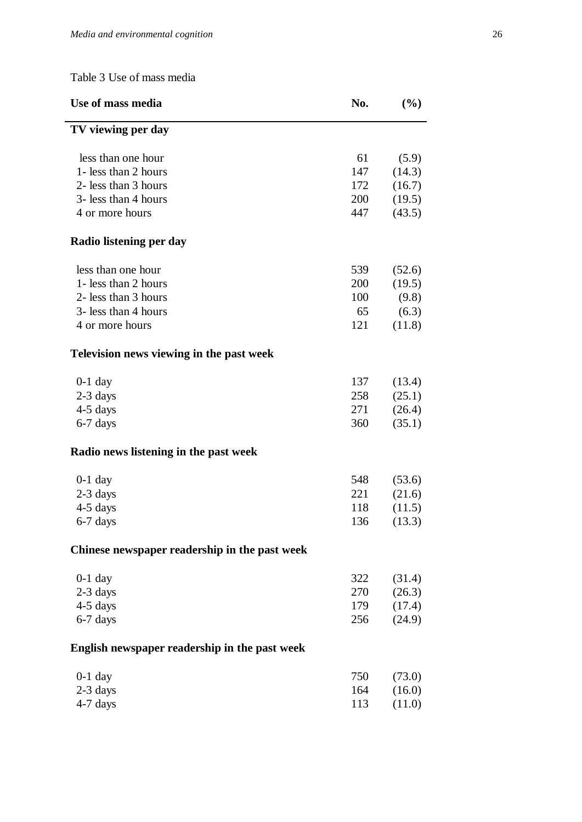Table 3 Use of mass media

| Use of mass media                             | No. | (%)    |
|-----------------------------------------------|-----|--------|
| TV viewing per day                            |     |        |
| less than one hour                            | 61  | (5.9)  |
| 1- less than 2 hours                          | 147 | (14.3) |
| 2- less than 3 hours                          | 172 | (16.7) |
| 3- less than 4 hours                          | 200 | (19.5) |
| 4 or more hours                               | 447 | (43.5) |
| Radio listening per day                       |     |        |
| less than one hour                            | 539 | (52.6) |
| 1- less than 2 hours                          | 200 | (19.5) |
| 2- less than 3 hours                          | 100 | (9.8)  |
| 3- less than 4 hours                          | 65  | (6.3)  |
| 4 or more hours                               | 121 | (11.8) |
| Television news viewing in the past week      |     |        |
| $0-1$ day                                     | 137 | (13.4) |
| $2-3$ days                                    | 258 | (25.1) |
| $4-5$ days                                    | 271 | (26.4) |
| 6-7 days                                      | 360 | (35.1) |
| Radio news listening in the past week         |     |        |
| $0-1$ day                                     | 548 | (53.6) |
| $2-3$ days                                    | 221 | (21.6) |
| $4-5$ days                                    | 118 | (11.5) |
| 6-7 days                                      | 136 | (13.3) |
| Chinese newspaper readership in the past week |     |        |
| $0-1$ day                                     | 322 | (31.4) |
| 2-3 days                                      | 270 | (26.3) |
| 4-5 days                                      | 179 | (17.4) |
| 6-7 days                                      | 256 | (24.9) |
| English newspaper readership in the past week |     |        |
| $0-1$ day                                     | 750 | (73.0) |
| 2-3 days                                      | 164 | (16.0) |
| 4-7 days                                      | 113 | (11.0) |
|                                               |     |        |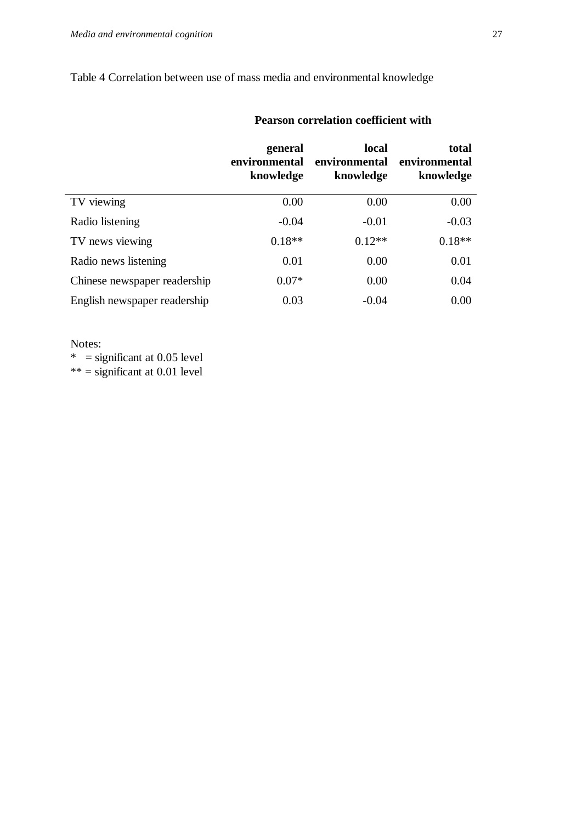Table 4 Correlation between use of mass media and environmental knowledge

|                              | general<br>environmental<br>knowledge | local<br>environmental<br>knowledge | total<br>environmental<br>knowledge |
|------------------------------|---------------------------------------|-------------------------------------|-------------------------------------|
| TV viewing                   | 0.00                                  | 0.00                                | 0.00                                |
| Radio listening              | $-0.04$                               | $-0.01$                             | $-0.03$                             |
| TV news viewing              | $0.18**$                              | $0.12**$                            | $0.18**$                            |
| Radio news listening         | 0.01                                  | 0.00                                | 0.01                                |
| Chinese newspaper readership | $0.07*$                               | 0.00                                | 0.04                                |
| English newspaper readership | 0.03                                  | $-0.04$                             | 0.00                                |

## **Pearson correlation coefficient with**

Notes:

 $*$  = significant at 0.05 level

 $***$  = significant at 0.01 level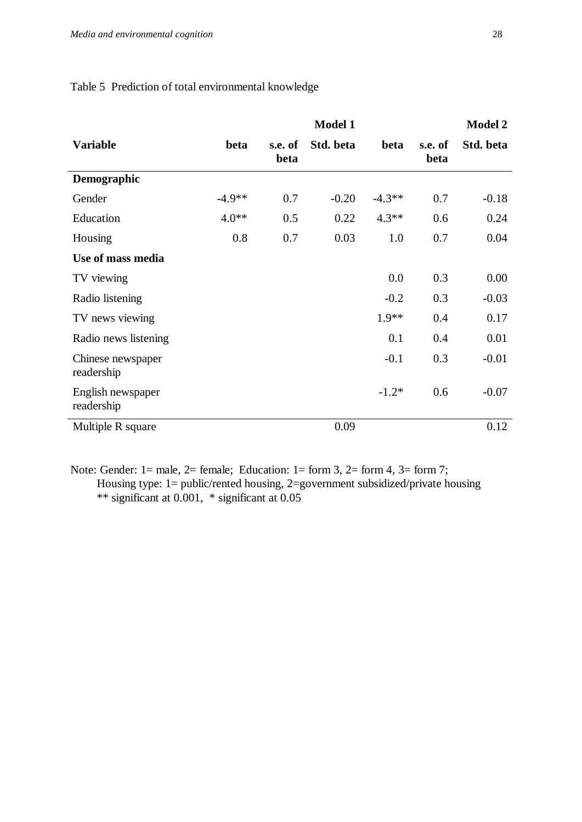|                                 |          |                 | <b>Model 1</b> |          |                 | <b>Model 2</b> |
|---------------------------------|----------|-----------------|----------------|----------|-----------------|----------------|
| <b>Variable</b>                 | beta     | s.e. of<br>beta | Std. beta      | beta     | s.e. of<br>beta | Std. beta      |
| Demographic                     |          |                 |                |          |                 |                |
| Gender                          | $-4.9**$ | 0.7             | $-0.20$        | $-4.3**$ | 0.7             | $-0.18$        |
| Education                       | $4.0**$  | 0.5             | 0.22           | $4.3**$  | 0.6             | 0.24           |
| Housing                         | 0.8      | 0.7             | 0.03           | 1.0      | 0.7             | 0.04           |
| Use of mass media               |          |                 |                |          |                 |                |
| TV viewing                      |          |                 |                | 0.0      | 0.3             | 0.00           |
| Radio listening                 |          |                 |                | $-0.2$   | 0.3             | $-0.03$        |
| TV news viewing                 |          |                 |                | $1.9**$  | 0.4             | 0.17           |
| Radio news listening            |          |                 |                | 0.1      | 0.4             | 0.01           |
| Chinese newspaper<br>readership |          |                 |                | $-0.1$   | 0.3             | $-0.01$        |
| English newspaper<br>readership |          |                 |                | $-1.2*$  | 0.6             | $-0.07$        |
| Multiple R square               |          |                 | 0.09           |          |                 | 0.12           |

## Table 5 Prediction of total environmental knowledge

Note: Gender:  $1=$  male,  $2=$  female; Education:  $1=$  form 3,  $2=$  form 4,  $3=$  form 7; Housing type: 1= public/rented housing, 2=government subsidized/private housing \*\* significant at 0.001, \* significant at 0.05